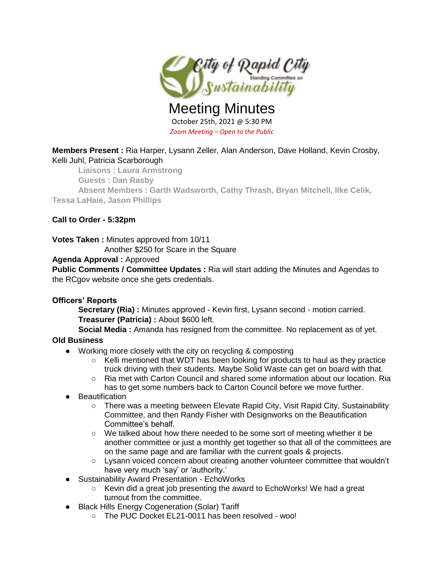

Meeting Minutes October 25th, 2021 @ 5:30 PM *Zoom Meeting – Open to the Public*

**Members Present :** Ria Harper, Lysann Zeller, Alan Anderson, Dave Holland, Kevin Crosby, Kelli Juhl, Patricia Scarborough

**Liaisons : Laura Armstrong** 

**Guests : Dan Rasby**

**Absent Members : Garth Wadsworth, Cathy Thrash, Bryan Mitchell, Ilke Celik, Tessa LaHaie, Jason Phillips**

**Call to Order - 5:32pm**

**Votes Taken :** Minutes approved from 10/11

Another \$250 for Scare in the Square

# **Agenda Approval :** Approved

**Public Comments / Committee Updates :** Ria will start adding the Minutes and Agendas to the RCgov website once she gets credentials.

# **Officers' Reports**

**Secretary (Ria) :** Minutes approved - Kevin first, Lysann second - motion carried. **Treasurer (Patricia) :** About \$600 left.

**Social Media :** Amanda has resigned from the committee. No replacement as of yet.

# **Old Business**

- Working more closely with the city on recycling & composting
	- Kelli mentioned that WDT has been looking for products to haul as they practice truck driving with their students. Maybe Solid Waste can get on board with that.
	- Ria met with Carton Council and shared some information about our location. Ria has to get some numbers back to Carton Council before we move further.
- Beautification
	- There was a meeting between Elevate Rapid City, Visit Rapid City, Sustainability Committee, and then Randy Fisher with Designworks on the Beautification Committee's behalf.
	- We talked about how there needed to be some sort of meeting whether it be another committee or just a monthly get together so that all of the committees are on the same page and are familiar with the current goals & projects.
	- Lysann voiced concern about creating another volunteer committee that wouldn't have very much 'say' or 'authority.'
- Sustainability Award Presentation EchoWorks
	- Kevin did a great job presenting the award to EchoWorks! We had a great turnout from the committee.
- Black Hills Energy Cogeneration (Solar) Tariff
	- The PUC Docket EL21-0011 has been resolved woo!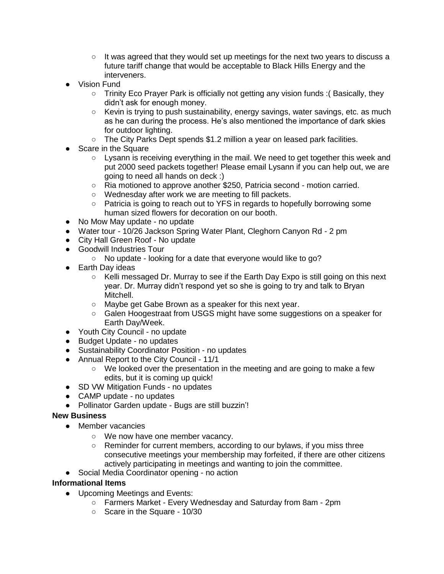- $\circ$  It was agreed that they would set up meetings for the next two years to discuss a future tariff change that would be acceptable to Black Hills Energy and the interveners.
- **Vision Fund** 
	- Trinity Eco Prayer Park is officially not getting any vision funds :( Basically, they didn't ask for enough money.
	- Kevin is trying to push sustainability, energy savings, water savings, etc. as much as he can during the process. He's also mentioned the importance of dark skies for outdoor lighting.
	- The City Parks Dept spends \$1.2 million a year on leased park facilities.
- Scare in the Square
	- Lysann is receiving everything in the mail. We need to get together this week and put 2000 seed packets together! Please email Lysann if you can help out, we are going to need all hands on deck :)
	- Ria motioned to approve another \$250, Patricia second motion carried.
	- Wednesday after work we are meeting to fill packets.
	- Patricia is going to reach out to YFS in regards to hopefully borrowing some human sized flowers for decoration on our booth.
- No Mow May update no update
- Water tour 10/26 Jackson Spring Water Plant, Cleghorn Canyon Rd 2 pm
- City Hall Green Roof No update
- Goodwill Industries Tour
	- No update looking for a date that everyone would like to go?
- Earth Day ideas
	- $\circ$  Kelli messaged Dr. Murray to see if the Earth Day Expo is still going on this next year. Dr. Murray didn't respond yet so she is going to try and talk to Bryan Mitchell.
	- Maybe get Gabe Brown as a speaker for this next year.
	- Galen Hoogestraat from USGS might have some suggestions on a speaker for Earth Day/Week.
- Youth City Council no update
- Budget Update no updates
- Sustainability Coordinator Position no updates
- Annual Report to the City Council 11/1
	- We looked over the presentation in the meeting and are going to make a few edits, but it is coming up quick!
- SD VW Mitigation Funds no updates
- CAMP update no updates
- Pollinator Garden update Bugs are still buzzin'!

# **New Business**

- Member vacancies
	- We now have one member vacancy.
	- Reminder for current members, according to our bylaws, if you miss three consecutive meetings your membership may forfeited, if there are other citizens actively participating in meetings and wanting to join the committee.
- Social Media Coordinator opening no action

# **Informational Items**

- Upcoming Meetings and Events:
	- Farmers Market Every Wednesday and Saturday from 8am 2pm
	- Scare in the Square 10/30